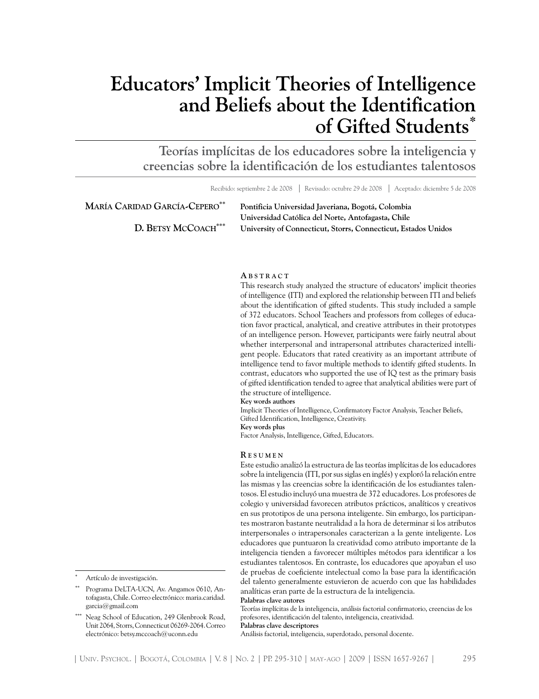# **Educators' Implicit Theories of Intelligence and Beliefs about the Identification of Gifted Students\***

**Teorías implícitas de los educadores sobre la inteligencia y creencias sobre la identificación de los estudiantes talentosos**

Recibido: septiembre 2 de 2008 | Revisado: octubre 29 de 2008 | Aceptado: diciembre 5 de 2008

| MARÍA CARIDAD GARCÍA-CEPERO <sup>**</sup> | Pontificia Universidad Javeriana, Bogotá, Colombia             |
|-------------------------------------------|----------------------------------------------------------------|
|                                           | Universidad Católica del Norte, Antofagasta, Chile             |
| D. BETSY MCCOACH***                       | University of Connecticut, Storrs, Connecticut, Estados Unidos |

#### **A b s t r a c t**

This research study analyzed the structure of educators' implicit theories of intelligence (ITI) and explored the relationship between ITI and beliefs about the identification of gifted students. This study included a sample of 372 educators. School Teachers and professors from colleges of education favor practical, analytical, and creative attributes in their prototypes of an intelligence person. However, participants were fairly neutral about whether interpersonal and intrapersonal attributes characterized intelligent people. Educators that rated creativity as an important attribute of intelligence tend to favor multiple methods to identify gifted students. In contrast, educators who supported the use of IQ test as the primary basis of gifted identification tended to agree that analytical abilities were part of the structure of intelligence.

**Key words authors** Implicit Theories of Intelligence, Confirmatory Factor Analysis, Teacher Beliefs, Gifted Identification, Intelligence, Creativity. **Key words plus** Factor Analysis, Intelligence, Gifted, Educators.

**R e s u m e n**

Este estudio analizó la estructura de las teorías implícitas de los educadores sobre la inteligencia (ITI, por sus siglas en inglés) y exploró la relación entre las mismas y las creencias sobre la identificación de los estudiantes talentosos. El estudio incluyó una muestra de 372 educadores. Los profesores de colegio y universidad favorecen atributos prácticos, analíticos y creativos en sus prototipos de una persona inteligente. Sin embargo, los participantes mostraron bastante neutralidad a la hora de determinar si los atributos interpersonales o intrapersonales caracterizan a la gente inteligente. Los educadores que puntuaron la creatividad como atributo importante de la inteligencia tienden a favorecer múltiples métodos para identificar a los estudiantes talentosos. En contraste, los educadores que apoyaban el uso de pruebas de coeficiente intelectual como la base para la identificación del talento generalmente estuvieron de acuerdo con que las habilidades analíticas eran parte de la estructura de la inteligencia. **Palabras clave autores**

Teorías implícitas de la inteligencia, análisis factorial confirmatorio, creencias de los profesores, identificación del talento, inteligencia, creatividad.

**Palabras clave descriptores** Análisis factorial, inteligencia, superdotado, personal docente.

| Univ. Psychol. | Bogotá, Colombia | V. 8 | No. 2 | PP. 295-310 | may-ago | 2009 | ISSN 1657-9267 | 295

Artículo de investigación.

Programa DeLTA-UCN, Av. Angamos 0610, Antofagasta, Chile. Correo electrónico: maria.caridad. garcia@gmail.com

Neag School of Education, 249 Glenbrook Road, Unit 2064, Storrs, Connecticut 06269-2064. Correo electrónico: betsy.mccoach@uconn.edu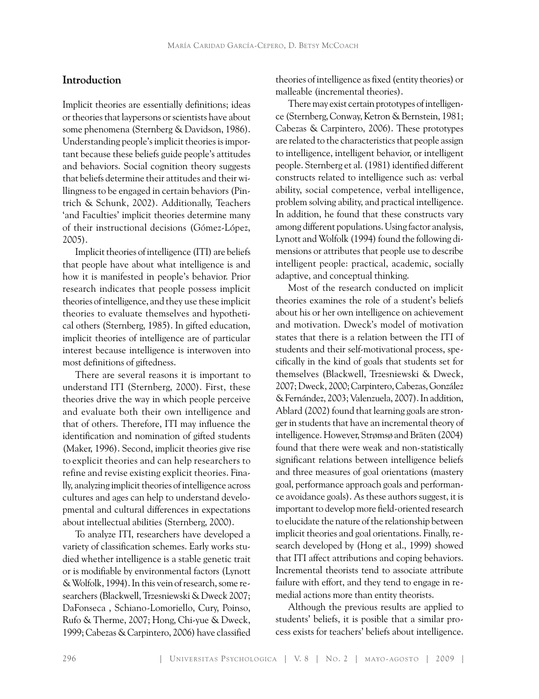# **Introduction**

Implicit theories are essentially definitions; ideas or theories that laypersons or scientists have about some phenomena (Sternberg & Davidson, 1986). Understanding people's implicit theories is important because these beliefs guide people's attitudes and behaviors. Social cognition theory suggests that beliefs determine their attitudes and their willingness to be engaged in certain behaviors (Pintrich & Schunk, 2002). Additionally, Teachers 'and Faculties' implicit theories determine many of their instructional decisions (Gómez-López, 2005).

Implicit theories of intelligence (ITI) are beliefs that people have about what intelligence is and how it is manifested in people's behavior. Prior research indicates that people possess implicit theories of intelligence, and they use these implicit theories to evaluate themselves and hypothetical others (Sternberg, 1985). In gifted education, implicit theories of intelligence are of particular interest because intelligence is interwoven into most definitions of giftedness.

There are several reasons it is important to understand ITI (Sternberg, 2000). First, these theories drive the way in which people perceive and evaluate both their own intelligence and that of others. Therefore, ITI may influence the identification and nomination of gifted students (Maker, 1996). Second, implicit theories give rise to explicit theories and can help researchers to refine and revise existing explicit theories. Finally, analyzing implicit theories of intelligence across cultures and ages can help to understand developmental and cultural differences in expectations about intellectual abilities (Sternberg, 2000).

To analyze ITI, researchers have developed a variety of classification schemes. Early works studied whether intelligence is a stable genetic trait or is modifiable by environmental factors (Lynott & Wolfolk, 1994). In this vein of research, some researchers (Blackwell, Trzesniewski & Dweck 2007; DaFonseca , Schiano-Lomoriello, Cury, Poinso, Rufo & Therme, 2007; Hong, Chi-yue & Dweck, 1999; Cabezas & Carpintero, 2006) have classified

theories of intelligence as fixed (entity theories) or malleable (incremental theories).

There may exist certain prototypes of intelligence (Sternberg, Conway, Ketron & Bernstein, 1981; Cabezas & Carpintero, 2006). These prototypes are related to the characteristics that people assign to intelligence, intelligent behavior, or intelligent people. Sternberg et al. (1981) identified different constructs related to intelligence such as: verbal ability, social competence, verbal intelligence, problem solving ability, and practical intelligence. In addition, he found that these constructs vary among different populations. Using factor analysis, Lynott and Wolfolk (1994) found the following dimensions or attributes that people use to describe intelligent people: practical, academic, socially adaptive, and conceptual thinking.

Most of the research conducted on implicit theories examines the role of a student's beliefs about his or her own intelligence on achievement and motivation. Dweck's model of motivation states that there is a relation between the ITI of students and their self-motivational process, specifically in the kind of goals that students set for themselves (Blackwell, Trzesniewski & Dweck, 2007; Dweck, 2000; Carpintero, Cabezas, González & Fernández, 2003; Valenzuela, 2007). In addition, Ablard (2002) found that learning goals are stronger in students that have an incremental theory of intelligence. However, Strømsø and Bräten (2004) found that there were weak and non-statistically significant relations between intelligence beliefs and three measures of goal orientations (mastery goal, performance approach goals and performance avoidance goals). As these authors suggest, it is important to develop more field-oriented research to elucidate the nature of the relationship between implicit theories and goal orientations. Finally, research developed by (Hong et al., 1999) showed that ITI affect attributions and coping behaviors. Incremental theorists tend to associate attribute failure with effort, and they tend to engage in remedial actions more than entity theorists.

Although the previous results are applied to students' beliefs, it is posible that a similar process exists for teachers' beliefs about intelligence.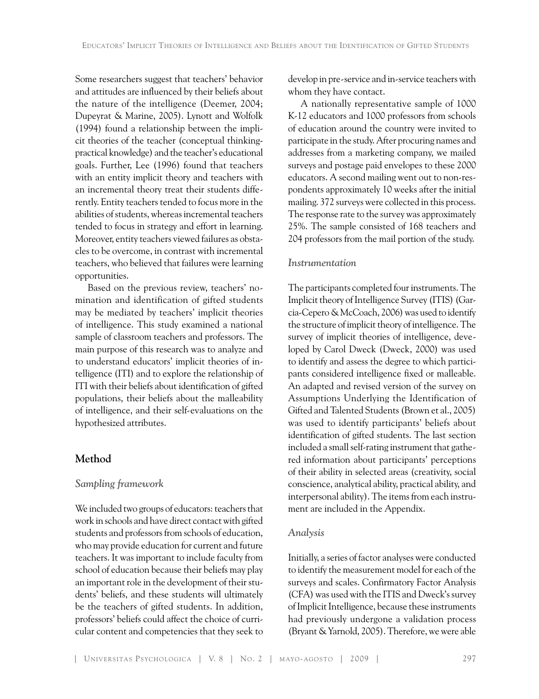Some researchers suggest that teachers' behavior and attitudes are influenced by their beliefs about the nature of the intelligence (Deemer, 2004; Dupeyrat & Marine, 2005). Lynott and Wolfolk (1994) found a relationship between the implicit theories of the teacher (conceptual thinkingpractical knowledge) and the teacher's educational goals. Further, Lee (1996) found that teachers with an entity implicit theory and teachers with an incremental theory treat their students differently. Entity teachers tended to focus more in the abilities of students, whereas incremental teachers tended to focus in strategy and effort in learning. Moreover, entity teachers viewed failures as obstacles to be overcome, in contrast with incremental teachers, who believed that failures were learning opportunities.

Based on the previous review, teachers' nomination and identification of gifted students may be mediated by teachers' implicit theories of intelligence. This study examined a national sample of classroom teachers and professors. The main purpose of this research was to analyze and to understand educators' implicit theories of intelligence (ITI) and to explore the relationship of ITI with their beliefs about identification of gifted populations, their beliefs about the malleability of intelligence, and their self-evaluations on the hypothesized attributes.

## **Method**

# *Sampling framework*

We included two groups of educators: teachers that work in schools and have direct contact with gifted students and professors from schools of education, who may provide education for current and future teachers. It was important to include faculty from school of education because their beliefs may play an important role in the development of their students' beliefs, and these students will ultimately be the teachers of gifted students. In addition, professors' beliefs could affect the choice of curricular content and competencies that they seek to

develop in pre-service and in-service teachers with whom they have contact.

A nationally representative sample of 1000 K-12 educators and 1000 professors from schools of education around the country were invited to participate in the study. After procuring names and addresses from a marketing company, we mailed surveys and postage paid envelopes to these 2000 educators. A second mailing went out to non-respondents approximately 10 weeks after the initial mailing. 372 surveys were collected in this process. The response rate to the survey was approximately 25%. The sample consisted of 168 teachers and 204 professors from the mail portion of the study.

### *Instrumentation*

The participants completed four instruments. The Implicit theory of Intelligence Survey (ITIS) (Garcia-Cepero & McCoach, 2006) was used to identify the structure of implicit theory of intelligence. The survey of implicit theories of intelligence, developed by Carol Dweck (Dweck, 2000) was used to identify and assess the degree to which participants considered intelligence fixed or malleable. An adapted and revised version of the survey on Assumptions Underlying the Identification of Gifted and Talented Students (Brown et al., 2005) was used to identify participants' beliefs about identification of gifted students. The last section included a small self-rating instrument that gathered information about participants' perceptions of their ability in selected areas (creativity, social conscience, analytical ability, practical ability, and interpersonal ability). The items from each instrument are included in the Appendix.

## *Analysis*

Initially, a series of factor analyses were conducted to identify the measurement model for each of the surveys and scales. Confirmatory Factor Analysis (CFA) was used with the ITIS and Dweck's survey of Implicit Intelligence, because these instruments had previously undergone a validation process (Bryant & Yarnold, 2005). Therefore, we were able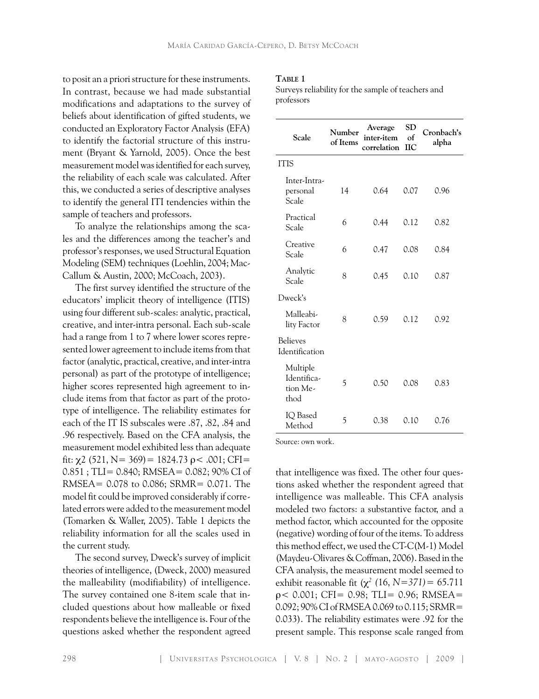to posit an a priori structure for these instruments. In contrast, because we had made substantial modifications and adaptations to the survey of beliefs about identification of gifted students, we conducted an Exploratory Factor Analysis (EFA) to identify the factorial structure of this instrument (Bryant & Yarnold, 2005). Once the best measurement model was identified for each survey, the reliability of each scale was calculated. After this, we conducted a series of descriptive analyses to identify the general ITI tendencies within the sample of teachers and professors.

To analyze the relationships among the scales and the differences among the teacher's and professor's responses, we used Structural Equation Modeling (SEM) techniques (Loehlin, 2004; Mac-Callum & Austin, 2000; McCoach, 2003).

The first survey identified the structure of the educators' implicit theory of intelligence (ITIS) using four different sub-scales: analytic, practical, creative, and inter-intra personal. Each sub-scale had a range from 1 to 7 where lower scores represented lower agreement to include items from that factor (analytic, practical, creative, and inter-intra personal) as part of the prototype of intelligence; higher scores represented high agreement to include items from that factor as part of the prototype of intelligence. The reliability estimates for each of the IT IS subscales were .87, .82, .84 and .96 respectively. Based on the CFA analysis, the measurement model exhibited less than adequate fit:  $\chi$ 2 (521, N = 369) = 1824.73  $\rho$  < .001; CFI = 0.851; TLI= 0.840; RMSEA= 0.082; 90% CI of RMSEA= 0.078 to 0.086; SRMR= 0.071. The model fit could be improved considerably if correlated errors were added to the measurement model (Tomarken & Waller, 2005). Table 1 depicts the reliability information for all the scales used in the current study.

The second survey, Dweck's survey of implicit theories of intelligence, (Dweck, 2000) measured the malleability (modifiability) of intelligence. The survey contained one 8-item scale that included questions about how malleable or fixed respondents believe the intelligence is. Four of the questions asked whether the respondent agreed

## **Table 1**

Surveys reliability for the sample of teachers and professors

| Scale                                       | Number<br>of Items | Average<br>inter-item<br>correlation | <b>SD</b><br>of<br><b>IIC</b> | Cronbach's<br>alpha |  |
|---------------------------------------------|--------------------|--------------------------------------|-------------------------------|---------------------|--|
| <b>ITIS</b>                                 |                    |                                      |                               |                     |  |
| Inter-Intra-<br>personal<br>Scale           | 14                 | 0.64                                 | 0.07                          | 0.96                |  |
| Practical<br>Scale                          | 6                  | 0.44                                 | 0.12                          | 0.82                |  |
| Creative<br>Scale                           | 6                  | 0.47                                 | 0.08                          | 0.84                |  |
| Analytic<br>Scale                           | 8                  | 0.45                                 | 0.10                          | 0.87                |  |
| Dweck's                                     |                    |                                      |                               |                     |  |
| Malleabi-<br>lity Factor                    | 8                  | 0.59                                 | 0.12                          | 0.92                |  |
| <b>Believes</b><br>Identification           |                    |                                      |                               |                     |  |
| Multiple<br>Identifica-<br>tion Me-<br>thod | 5                  | 0.50                                 | 0.08                          | 0.83                |  |
| IQ Based<br>Method                          | 5                  | 0.38                                 | 0.10                          | 0.76                |  |

Source: own work.

that intelligence was fixed. The other four questions asked whether the respondent agreed that intelligence was malleable. This CFA analysis modeled two factors: a substantive factor, and a method factor, which accounted for the opposite (negative) wording of four of the items. To address this method effect, we used the CT-C(M-1) Model (Maydeu-Olivares & Coffman, 2006). Based in the CFA analysis, the measurement model seemed to exhibit reasonable fit  $(\chi^2)(16, N=371) = 65.711$  $p$  < 0.001; CFI= 0.98; TLI= 0.96; RMSEA= 0.092; 90% CI of RMSEA 0.069 to 0.115; SRMR= 0.033). The reliability estimates were .92 for the present sample. This response scale ranged from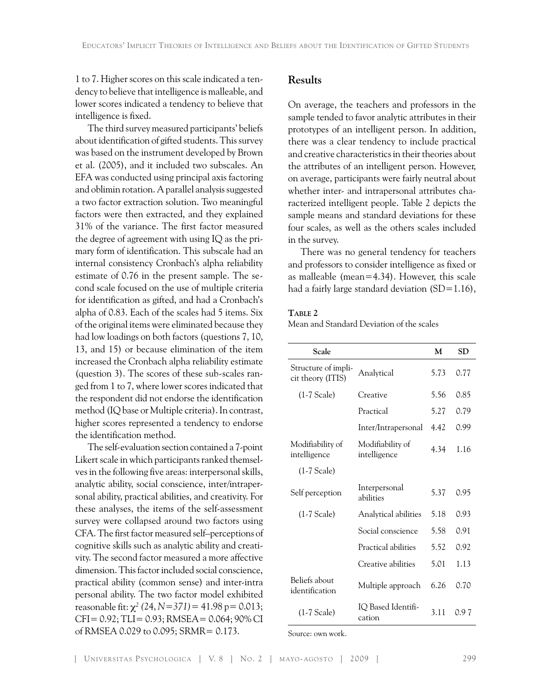1 to 7. Higher scores on this scale indicated a tendency to believe that intelligence is malleable, and lower scores indicated a tendency to believe that intelligence is fixed.

The third survey measured participants' beliefs about identification of gifted students. This survey was based on the instrument developed by Brown et al. (2005), and it included two subscales. An EFA was conducted using principal axis factoring and oblimin rotation. A parallel analysis suggested a two factor extraction solution. Two meaningful factors were then extracted, and they explained 31% of the variance. The first factor measured the degree of agreement with using IQ as the primary form of identification. This subscale had an internal consistency Cronbach's alpha reliability estimate of 0.76 in the present sample. The second scale focused on the use of multiple criteria for identification as gifted, and had a Cronbach's alpha of 0.83. Each of the scales had 5 items. Six of the original items were eliminated because they had low loadings on both factors (questions 7, 10, 13, and 15) or because elimination of the item increased the Cronbach alpha reliability estimate (question 3). The scores of these sub-scales ranged from 1 to 7, where lower scores indicated that the respondent did not endorse the identification method (IQ base or Multiple criteria). In contrast, higher scores represented a tendency to endorse the identification method.

The self-evaluation section contained a 7-point Likert scale in which participants ranked themselves in the following five areas: interpersonal skills, analytic ability, social conscience, inter/intrapersonal ability, practical abilities, and creativity. For these analyses, the items of the self-assessment survey were collapsed around two factors using CFA. The first factor measured self–perceptions of cognitive skills such as analytic ability and creativity. The second factor measured a more affective dimension. This factor included social conscience, practical ability (common sense) and inter-intra personal ability. The two factor model exhibited reasonable fit: χ*<sup>2</sup> (*24, *N=371)=* 41.98 p= 0.013; CFI= 0.92; TLI= 0.93; RMSEA= 0.064; 90% CI of RMSEA 0.029 to 0.095; SRMR= 0.173.

# **Results**

On average, the teachers and professors in the sample tended to favor analytic attributes in their prototypes of an intelligent person. In addition, there was a clear tendency to include practical and creative characteristics in their theories about the attributes of an intelligent person. However, on average, participants were fairly neutral about whether inter- and intrapersonal attributes characterized intelligent people. Table 2 depicts the sample means and standard deviations for these four scales, as well as the others scales included in the survey.

There was no general tendency for teachers and professors to consider intelligence as fixed or as malleable (mean=4.34). However, this scale had a fairly large standard deviation (SD=1.16),

#### **Table 2**

Mean and Standard Deviation of the scales

| Scale                                    |                                  | M    | SD   |
|------------------------------------------|----------------------------------|------|------|
| Structure of impli-<br>cit theory (ITIS) | Analytical                       | 5.73 | 0.77 |
| $(1-7)$ Scale)                           | Creative                         | 5.56 | 0.85 |
|                                          | Practical                        | 5.27 | 0.79 |
|                                          | Inter/Intrapersonal              | 4.42 | 0.99 |
| Modifiability of<br>intelligence         | Modifiability of<br>intelligence | 4.34 | 1.16 |
| $(1-7)$ Scale)                           |                                  |      |      |
| Self perception                          | Interpersonal<br>abilities       | 5.37 | 0.95 |
| $(1-7)$ Scale)                           | Analytical abilities             | 5.18 | 0.93 |
|                                          | Social conscience                | 5.58 | 0.91 |
|                                          | Practical abilities              | 5.52 | 0.92 |
|                                          | Creative abilities               | 5.01 | 1.13 |
| Beliefs about<br>identification          | Multiple approach                | 6.26 | 0.70 |
| $(1-7)$ Scale)                           | IO Based Identifi-<br>cation     | 3.11 | 0.97 |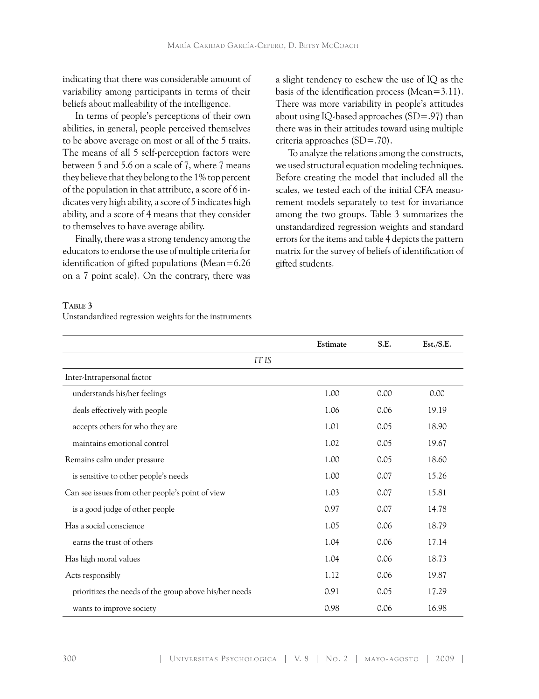indicating that there was considerable amount of variability among participants in terms of their beliefs about malleability of the intelligence.

In terms of people's perceptions of their own abilities, in general, people perceived themselves to be above average on most or all of the 5 traits. The means of all 5 self-perception factors were between 5 and 5.6 on a scale of 7, where 7 means they believe that they belong to the 1% top percent of the population in that attribute, a score of 6 indicates very high ability, a score of 5 indicates high ability, and a score of 4 means that they consider to themselves to have average ability.

Finally, there was a strong tendency among the educators to endorse the use of multiple criteria for identification of gifted populations (Mean=6.26 on a 7 point scale). On the contrary, there was

a slight tendency to eschew the use of IQ as the basis of the identification process (Mean=3.11). There was more variability in people's attitudes about using IQ-based approaches (SD=.97) than there was in their attitudes toward using multiple criteria approaches (SD=.70).

To analyze the relations among the constructs, we used structural equation modeling techniques. Before creating the model that included all the scales, we tested each of the initial CFA measurement models separately to test for invariance among the two groups. Table 3 summarizes the unstandardized regression weights and standard errors for the items and table 4 depicts the pattern matrix for the survey of beliefs of identification of gifted students.

## **Table 3**

Unstandardized regression weights for the instruments

|                                                        | Estimate | S.E. | Est./S.E. |  |  |  |  |  |
|--------------------------------------------------------|----------|------|-----------|--|--|--|--|--|
| IT IS                                                  |          |      |           |  |  |  |  |  |
| Inter-Intrapersonal factor                             |          |      |           |  |  |  |  |  |
| understands his/her feelings                           | 1.00     | 0.00 | 0.00      |  |  |  |  |  |
| deals effectively with people                          | 1.06     | 0.06 | 19.19     |  |  |  |  |  |
| accepts others for who they are                        | 1.01     | 0.05 | 18.90     |  |  |  |  |  |
| maintains emotional control                            | 1.02     | 0.05 | 19.67     |  |  |  |  |  |
| Remains calm under pressure                            | 1.00     | 0.05 | 18.60     |  |  |  |  |  |
| is sensitive to other people's needs                   | 1.00     | 0.07 | 15.26     |  |  |  |  |  |
| Can see issues from other people's point of view       | 1.03     | 0.07 | 15.81     |  |  |  |  |  |
| is a good judge of other people                        | 0.97     | 0.07 | 14.78     |  |  |  |  |  |
| Has a social conscience                                | 1.05     | 0.06 | 18.79     |  |  |  |  |  |
| earns the trust of others                              | 1.04     | 0.06 | 17.14     |  |  |  |  |  |
| Has high moral values                                  | 1.04     | 0.06 | 18.73     |  |  |  |  |  |
| Acts responsibly                                       | 1.12     | 0.06 | 19.87     |  |  |  |  |  |
| prioritizes the needs of the group above his/her needs | 0.91     | 0.05 | 17.29     |  |  |  |  |  |
| wants to improve society                               | 0.98     | 0.06 | 16.98     |  |  |  |  |  |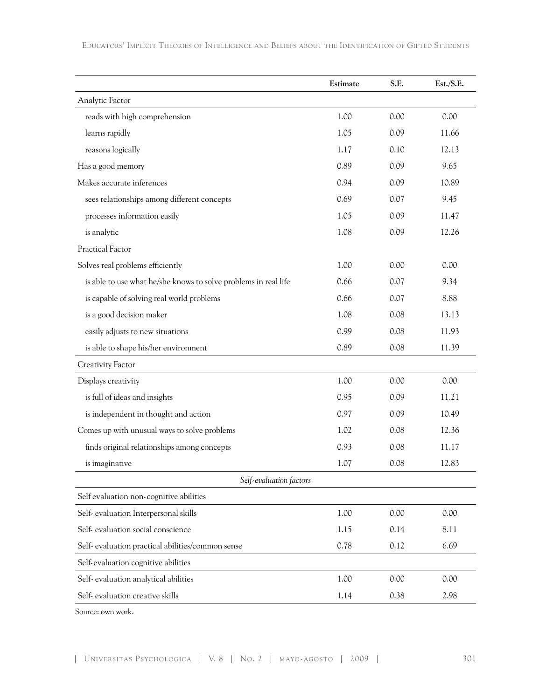**Estimate S.E. Est./S.E.** Analytic Factor reads with high comprehension 1.00 0.00 0.00 0.00 learns rapidly 1.05 0.09 11.66 reasons logically 1.17 0.10 12.13 Has a good memory and the set of the set of the set of the set of the set of the set of the set of the set of the set of the set of the set of the set of the set of the set of the set of the set of the set of the set of th Makes accurate inferences 0.94 0.09 10.89 sees relationships among different concepts 0.69 0.07 9.45 processes information easily 1.05 0.09 11.47 is analytic 1.08 0.09 12.26 Practical Factor Solves real problems efficiently  $1.00$  0.00 0.00 0.00 is able to use what he/she knows to solve problems in real life 0.66 0.07 9.34 is capable of solving real world problems 0.66 0.07 8.88 is a good decision maker 1.08 0.08 13.13 easily adjusts to new situations  $0.99$  0.08 11.93 is able to shape his/her environment 0.89 0.08 11.39 Creativity Factor Displays creativity 1.00 0.00 0.00 0.00 is full of ideas and insights 0.95 0.09 11.21 is independent in thought and action 0.97 0.09 10.49 Comes up with unusual ways to solve problems 1.02 0.08 12.36 finds original relationships among concepts 0.93 0.08 11.17 is imaginative 1.07 0.08 12.83 *Self-evaluation factors* Self evaluation non-cognitive abilities Self- evaluation Interpersonal skills 1.00 0.00 0.00 Self- evaluation social conscience  $1.15$  0.14 8.11 Self- evaluation practical abilities/common sense 0.78 0.12 6.69 Self-evaluation cognitive abilities Self- evaluation analytical abilities 1.00 0.00 0.00 Self- evaluation creative skills  $1.14$  0.38 2.98

Educators' Implicit Theories of Intelligence and Beliefs about the Identification of Gifted Students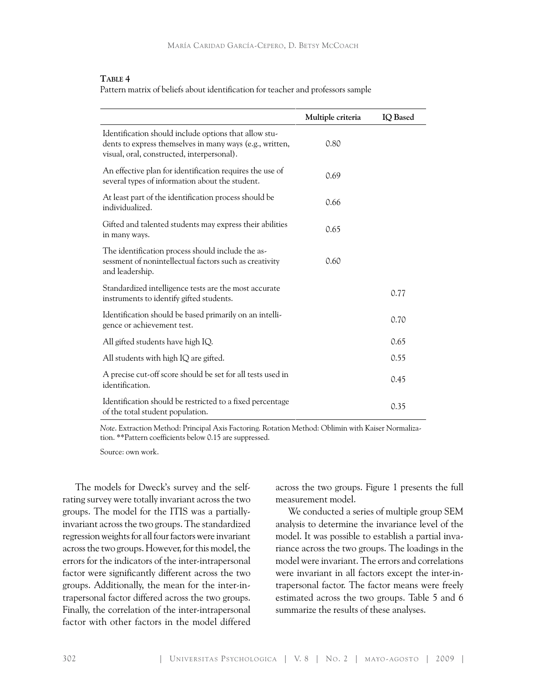### **Table 4**

Pattern matrix of beliefs about identification for teacher and professors sample

|                                                                                                                                                                 | Multiple criteria | IQ Based |
|-----------------------------------------------------------------------------------------------------------------------------------------------------------------|-------------------|----------|
| Identification should include options that allow stu-<br>dents to express themselves in many ways (e.g., written,<br>visual, oral, constructed, interpersonal). | 0.80              |          |
| An effective plan for identification requires the use of<br>several types of information about the student.                                                     | 0.69              |          |
| At least part of the identification process should be<br>individualized.                                                                                        | 0.66              |          |
| Gifted and talented students may express their abilities<br>in many ways.                                                                                       | 0.65              |          |
| The identification process should include the as-<br>sessment of nonintellectual factors such as creativity<br>and leadership.                                  | 0.60              |          |
| Standardized intelligence tests are the most accurate<br>instruments to identify gifted students.                                                               |                   | 0.77     |
| Identification should be based primarily on an intelli-<br>gence or achievement test.                                                                           |                   | 0.70     |
| All gifted students have high IQ.                                                                                                                               |                   | 0.65     |
| All students with high IQ are gifted.                                                                                                                           |                   | 0.55     |
| A precise cut-off score should be set for all tests used in<br>identification.                                                                                  |                   | 0.45     |
| Identification should be restricted to a fixed percentage<br>of the total student population.                                                                   |                   | 0.35     |

*Note*. Extraction Method: Principal Axis Factoring. Rotation Method: Oblimin with Kaiser Normalization. \*\*Pattern coefficients below 0.15 are suppressed.

Source: own work.

The models for Dweck's survey and the selfrating survey were totally invariant across the two groups. The model for the ITIS was a partiallyinvariant across the two groups. The standardized regression weights for all four factors were invariant across the two groups. However, for this model, the errors for the indicators of the inter-intrapersonal factor were significantly different across the two groups. Additionally, the mean for the inter-intrapersonal factor differed across the two groups. Finally, the correlation of the inter-intrapersonal factor with other factors in the model differed

across the two groups. Figure 1 presents the full measurement model.

We conducted a series of multiple group SEM analysis to determine the invariance level of the model. It was possible to establish a partial invariance across the two groups. The loadings in the model were invariant. The errors and correlations were invariant in all factors except the inter-intrapersonal factor. The factor means were freely estimated across the two groups. Table 5 and 6 summarize the results of these analyses.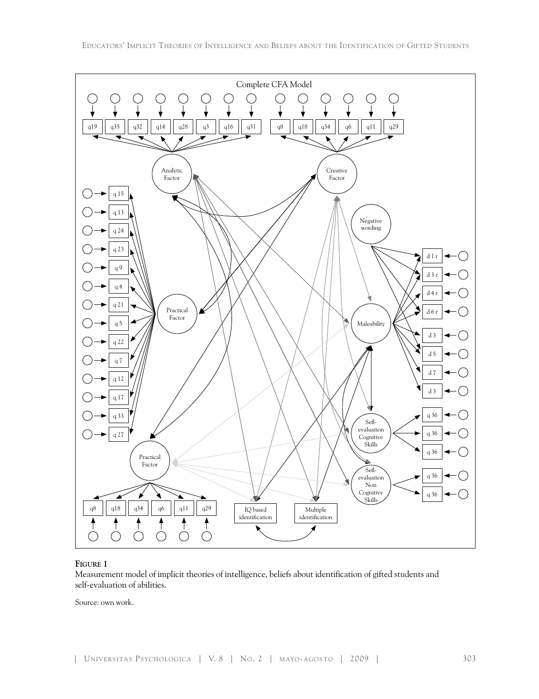

## **Figure 1**

Measurement model of implicit theories of intelligence, beliefs about identification of gifted students and self-evaluation of abilities.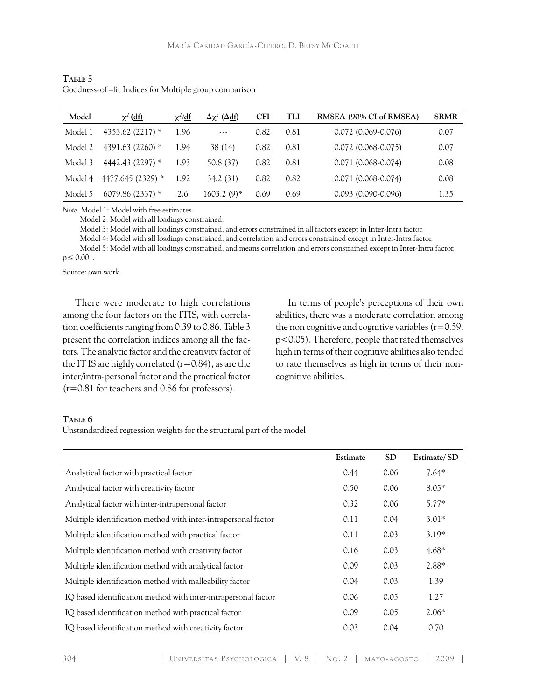| Model   | $\chi^2$ (df)     | $\chi^2/\text{d}f$ | $\Delta \chi^2$ ( $\Delta \underline{df}$ ) | <b>CFI</b> | TLI  | RMSEA (90% CI of RMSEA) | <b>SRMR</b> |
|---------|-------------------|--------------------|---------------------------------------------|------------|------|-------------------------|-------------|
| Model 1 | 4353.62 (2217) *  | 1.96               | ---                                         | 0.82       | 0.81 | $0.072(0.069-0.076)$    | 0.07        |
| Model 2 | 4391.63 (2260) *  | 1.94               | 38 (14)                                     | 0.82       | 0.81 | $0.072(0.068-0.075)$    | 0.07        |
| Model 3 | 4442.43 (2297) *  | 1.93               | 50.8 (37)                                   | 0.82       | 0.81 | $0.071(0.068-0.074)$    | 0.08        |
| Model 4 | 4477.645 (2329) * | 1.92               | 34.2 (31)                                   | 0.82       | 0.82 | $0.071(0.068-0.074)$    | 0.08        |
| Model 5 | $6079.86(2337)$ * | 2.6                | 1603.2 (9)*                                 | 0.69       | 0.69 | $0.093(0.090-0.096)$    | 1.35        |

**Table 5** Goodness-of –fit Indices for Multiple group comparison

*Note.* Model 1: Model with free estimates.

Model 2: Model with all loadings constrained.

Model 3: Model with all loadings constrained, and errors constrained in all factors except in Inter-Intra factor.

Model 4: Model with all loadings constrained, and correlation and errors constrained except in Inter-Intra factor.

 Model 5: Model with all loadings constrained, and means correlation and errors constrained except in Inter-Intra factor.  $\rho \leq 0.001$ .

Source: own work.

There were moderate to high correlations among the four factors on the ITIS, with correlation coefficients ranging from 0.39 to 0.86. Table 3 present the correlation indices among all the factors. The analytic factor and the creativity factor of the IT IS are highly correlated  $(r=0.84)$ , as are the inter/intra-personal factor and the practical factor (r=0.81 for teachers and 0.86 for professors).

In terms of people's perceptions of their own abilities, there was a moderate correlation among the non cognitive and cognitive variables  $(r=0.59)$ , p<0.05). Therefore, people that rated themselves high in terms of their cognitive abilities also tended to rate themselves as high in terms of their noncognitive abilities.

#### **Table 6**

Unstandardized regression weights for the structural part of the model

|                                                                | Estimate | <b>SD</b> | Estimate/SD |
|----------------------------------------------------------------|----------|-----------|-------------|
| Analytical factor with practical factor                        | 0.44     | 0.06      | $7.64*$     |
| Analytical factor with creativity factor                       | 0.50     | 0.06      | $8.05*$     |
| Analytical factor with inter-intrapersonal factor              | 0.32     | 0.06      | $5.77*$     |
| Multiple identification method with inter-intrapersonal factor | 0.11     | 0.04      | $3.01*$     |
| Multiple identification method with practical factor           | 0.11     | 0.03      | $3.19*$     |
| Multiple identification method with creativity factor          | 0.16     | 0.03      | $4.68*$     |
| Multiple identification method with analytical factor          | 0.09     | 0.03      | $2.88*$     |
| Multiple identification method with malleability factor        | 0.04     | 0.03      | 1.39        |
| IQ based identification method with inter-intrapersonal factor | 0.06     | 0.05      | 1.27        |
| IQ based identification method with practical factor           | 0.09     | 0.05      | $2.06*$     |
| IQ based identification method with creativity factor          | 0.03     | 0.04      | 0.70        |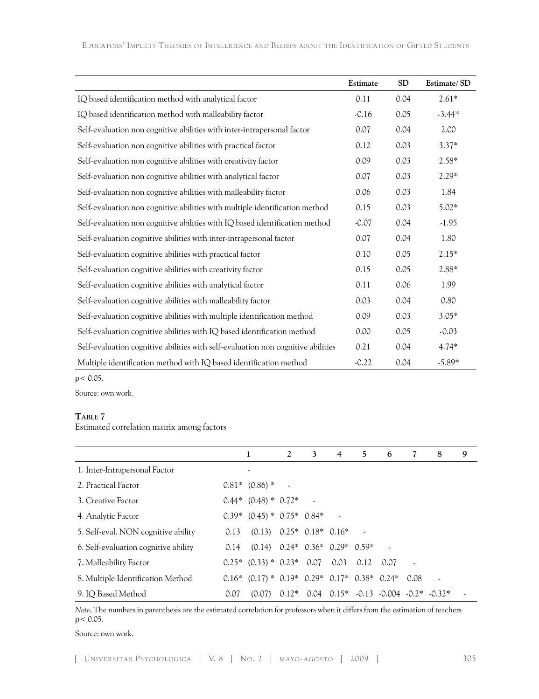|                                                                                  | Estimate | <b>SD</b> | Estimate/SD |
|----------------------------------------------------------------------------------|----------|-----------|-------------|
| IQ based identification method with analytical factor                            | 0.11     | 0.04      | $2.61*$     |
| IQ based identification method with malleability factor                          | $-0.16$  | 0.05      | $-3.44*$    |
| Self-evaluation non cognitive abilities with inter-intrapersonal factor          | 0.07     | 0.04      | 2.00        |
| Self-evaluation non cognitive abilities with practical factor                    | 0.12     | 0.03      | $3.37*$     |
| Self-evaluation non cognitive abilities with creativity factor                   | 0.09     | 0.03      | $2.58*$     |
| Self-evaluation non cognitive abilities with analytical factor                   | 0.07     | 0.03      | $2.29*$     |
| Self-evaluation non cognitive abilities with malleability factor                 | 0.06     | 0.03      | 1.84        |
| Self-evaluation non cognitive abilities with multiple identification method      | 0.15     | 0.03      | $5.02*$     |
| Self-evaluation non cognitive abilities with IQ based identification method      | $-0.07$  | 0.04      | $-1.95$     |
| Self-evaluation cognitive abilities with inter-intrapersonal factor              | 0.07     | 0.04      | 1.80        |
| Self-evaluation cognitive abilities with practical factor                        | 0.10     | 0.05      | $2.15*$     |
| Self-evaluation cognitive abilities with creativity factor                       | 0.15     | 0.05      | 2.88*       |
| Self-evaluation cognitive abilities with analytical factor                       | 0.11     | 0.06      | 1.99        |
| Self-evaluation cognitive abilities with malleability factor                     | 0.03     | 0.04      | 0.80        |
| Self-evaluation cognitive abilities with multiple identification method          | 0.09     | 0.03      | $3.05*$     |
| Self-evaluation cognitive abilities with IQ based identification method          | 0.00     | 0.05      | $-0.03$     |
| Self-evaluation cognitive abilities with self-evaluation non cognitive abilities | 0.21     | 0.04      | $4.74*$     |
| Multiple identification method with IQ based identification method               | $-0.22$  | 0.04      | $-5.89*$    |

 $ρ < 0.05$ .

Source: own work.

#### **Table 7**

Estimated correlation matrix among factors

|                                      |      | 1                                                         | $2^{\circ}$              | 3                        | 4 | 5           | 6                                                |      | 8 | 9 |
|--------------------------------------|------|-----------------------------------------------------------|--------------------------|--------------------------|---|-------------|--------------------------------------------------|------|---|---|
| 1. Inter-Intrapersonal Factor        |      |                                                           |                          |                          |   |             |                                                  |      |   |   |
| 2. Practical Factor                  |      | $0.81*$ $(0.86)*$                                         | $\overline{\phantom{a}}$ |                          |   |             |                                                  |      |   |   |
| 3. Creative Factor                   |      | $0.44*$ $(0.48)*$ $0.72*$                                 |                          | $\overline{\phantom{a}}$ |   |             |                                                  |      |   |   |
| 4. Analytic Factor                   |      | $0.39*$ $(0.45)*$ $0.75*$ $0.84*$                         |                          |                          |   |             |                                                  |      |   |   |
| 5. Self-eval. NON cognitive ability  | 0.13 | $(0.13)$ $0.25*$ $0.18*$ $0.16*$                          |                          |                          |   |             |                                                  |      |   |   |
| 6. Self-evaluation cognitive ability | 0.14 | $(0.14)$ $0.24*$ $0.36*$ $0.29*$ $0.59*$                  |                          |                          |   |             |                                                  |      |   |   |
| 7. Malleability Factor               |      | $0.25*$ $(0.33)*$ $0.23*$ 0.07 0.03                       |                          |                          |   | $0.12$ 0.07 |                                                  |      |   |   |
| 8. Multiple Identification Method    |      | $0.16*$ $(0.17)*$ $0.19*$ $0.29*$ $0.17*$ $0.38*$ $0.24*$ |                          |                          |   |             |                                                  | 0.08 |   |   |
| 9. IQ Based Method                   | 0.07 | (0.07)                                                    |                          |                          |   |             | $0.12^*$ 0.04 $0.15^*$ -0.13 -0.004 -0.2* -0.32* |      |   |   |

*Note*. The numbers in parenthesis are the estimated correlation for professors when it differs from the estimation of teachers  $ρ < 0.05$ .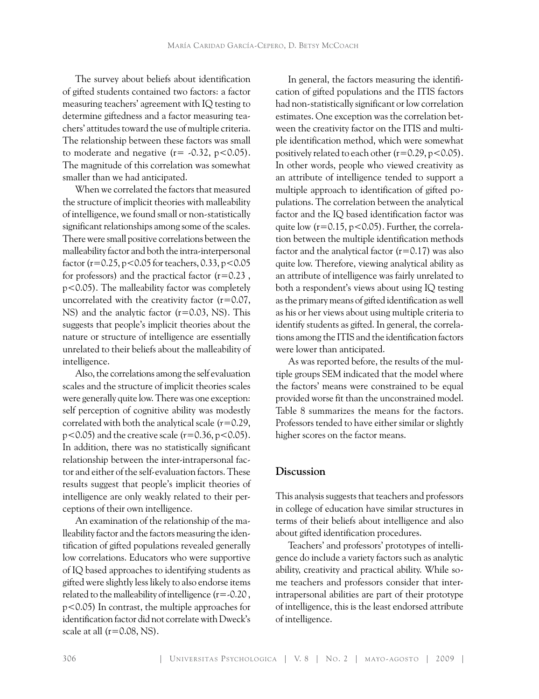The survey about beliefs about identification of gifted students contained two factors: a factor measuring teachers' agreement with IQ testing to determine giftedness and a factor measuring teachers' attitudes toward the use of multiple criteria. The relationship between these factors was small to moderate and negative  $(r = -0.32, p < 0.05)$ . The magnitude of this correlation was somewhat smaller than we had anticipated.

When we correlated the factors that measured the structure of implicit theories with malleability of intelligence, we found small or non-statistically significant relationships among some of the scales. There were small positive correlations between the malleability factor and both the intra-interpersonal factor ( $r = 0.25$ ,  $p < 0.05$  for teachers, 0.33,  $p < 0.05$ for professors) and the practical factor  $(r=0.23$ , p<0.05). The malleability factor was completely uncorrelated with the creativity factor  $(r=0.07,$ NS) and the analytic factor (r=0.03, NS). This suggests that people's implicit theories about the nature or structure of intelligence are essentially unrelated to their beliefs about the malleability of intelligence.

Also, the correlations among the self evaluation scales and the structure of implicit theories scales were generally quite low. There was one exception: self perception of cognitive ability was modestly correlated with both the analytical scale (*r*=0.29, p<0.05) and the creative scale (*r*=0.36, p<0.05). In addition, there was no statistically significant relationship between the inter-intrapersonal factor and either of the self-evaluation factors. These results suggest that people's implicit theories of intelligence are only weakly related to their perceptions of their own intelligence.

An examination of the relationship of the malleability factor and the factors measuring the identification of gifted populations revealed generally low correlations. Educators who were supportive of IQ based approaches to identifying students as gifted were slightly less likely to also endorse items related to the malleability of intelligence  $(r = -0.20$ , p<0.05) In contrast, the multiple approaches for identification factor did not correlate with Dweck's scale at all  $(r=0.08, NS)$ .

In general, the factors measuring the identification of gifted populations and the ITIS factors had non-statistically significant or low correlation estimates. One exception was the correlation between the creativity factor on the ITIS and multiple identification method, which were somewhat positively related to each other  $(r=0.29, p<0.05)$ . In other words, people who viewed creativity as an attribute of intelligence tended to support a multiple approach to identification of gifted populations. The correlation between the analytical factor and the IQ based identification factor was quite low  $(r=0.15, p<0.05)$ . Further, the correlation between the multiple identification methods factor and the analytical factor  $(r=0.17)$  was also quite low. Therefore, viewing analytical ability as an attribute of intelligence was fairly unrelated to both a respondent's views about using IQ testing as the primary means of gifted identification as well as his or her views about using multiple criteria to identify students as gifted. In general, the correlations among the ITIS and the identification factors were lower than anticipated.

As was reported before, the results of the multiple groups SEM indicated that the model where the factors' means were constrained to be equal provided worse fit than the unconstrained model. Table 8 summarizes the means for the factors. Professors tended to have either similar or slightly higher scores on the factor means.

## **Discussion**

This analysis suggests that teachers and professors in college of education have similar structures in terms of their beliefs about intelligence and also about gifted identification procedures.

Teachers' and professors' prototypes of intelligence do include a variety factors such as analytic ability, creativity and practical ability. While some teachers and professors consider that interintrapersonal abilities are part of their prototype of intelligence, this is the least endorsed attribute of intelligence.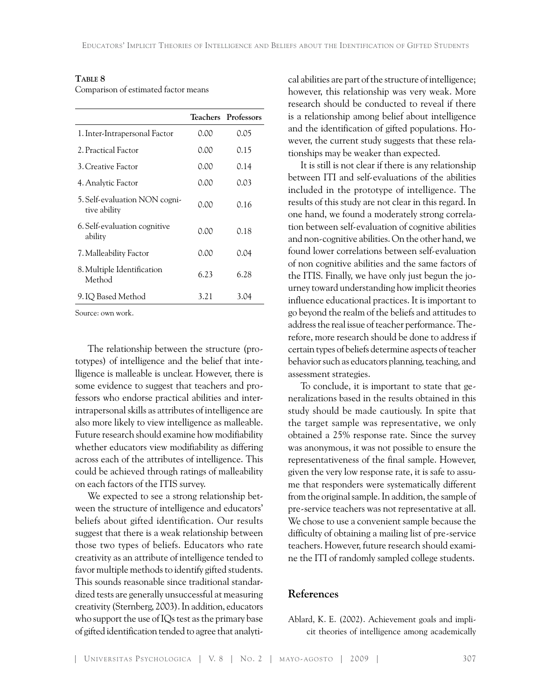### **Table 8**

Comparison of estimated factor means

|                                               |      | Teachers Professors |
|-----------------------------------------------|------|---------------------|
| 1. Inter-Intrapersonal Factor                 | 0.00 | 0.05                |
| 2. Practical Factor                           | 0.00 | 0.15                |
| 3. Creative Factor                            | 0.00 | 0.14                |
| 4. Analytic Factor                            | 0.00 | 0.03                |
| 5. Self-evaluation NON cogni-<br>tive ability | 0.00 | 0.16                |
| 6. Self-evaluation cognitive<br>ability       | 0.00 | 0.18                |
| 7. Malleability Factor                        | 0.00 | 0.04                |
| 8. Multiple Identification<br>Method          | 6.23 | 6.28                |
| 9. IQ Based Method                            | 3.21 | 3.04                |

Source: own work.

The relationship between the structure (prototypes) of intelligence and the belief that intelligence is malleable is unclear. However, there is some evidence to suggest that teachers and professors who endorse practical abilities and interintrapersonal skills as attributes of intelligence are also more likely to view intelligence as malleable. Future research should examine how modifiability whether educators view modifiability as differing across each of the attributes of intelligence. This could be achieved through ratings of malleability on each factors of the ITIS survey.

We expected to see a strong relationship between the structure of intelligence and educators' beliefs about gifted identification. Our results suggest that there is a weak relationship between those two types of beliefs. Educators who rate creativity as an attribute of intelligence tended to favor multiple methods to identify gifted students. This sounds reasonable since traditional standardized tests are generally unsuccessful at measuring creativity (Sternberg, 2003). In addition, educators who support the use of IQs test as the primary base of gifted identification tended to agree that analytical abilities are part of the structure of intelligence; however, this relationship was very weak. More research should be conducted to reveal if there is a relationship among belief about intelligence and the identification of gifted populations. However, the current study suggests that these relationships may be weaker than expected.

It is still is not clear if there is any relationship between ITI and self-evaluations of the abilities included in the prototype of intelligence. The results of this study are not clear in this regard. In one hand, we found a moderately strong correlation between self-evaluation of cognitive abilities and non-cognitive abilities. On the other hand, we found lower correlations between self-evaluation of non cognitive abilities and the same factors of the ITIS. Finally, we have only just begun the journey toward understanding how implicit theories influence educational practices. It is important to go beyond the realm of the beliefs and attitudes to address the real issue of teacher performance. Therefore, more research should be done to address if certain types of beliefs determine aspects of teacher behavior such as educators planning, teaching, and assessment strategies.

To conclude, it is important to state that generalizations based in the results obtained in this study should be made cautiously. In spite that the target sample was representative, we only obtained a 25% response rate. Since the survey was anonymous, it was not possible to ensure the representativeness of the final sample. However, given the very low response rate, it is safe to assume that responders were systematically different from the original sample. In addition, the sample of pre-service teachers was not representative at all. We chose to use a convenient sample because the difficulty of obtaining a mailing list of pre-service teachers. However, future research should examine the ITI of randomly sampled college students.

## **References**

Ablard, K. E. (2002). Achievement goals and implicit theories of intelligence among academically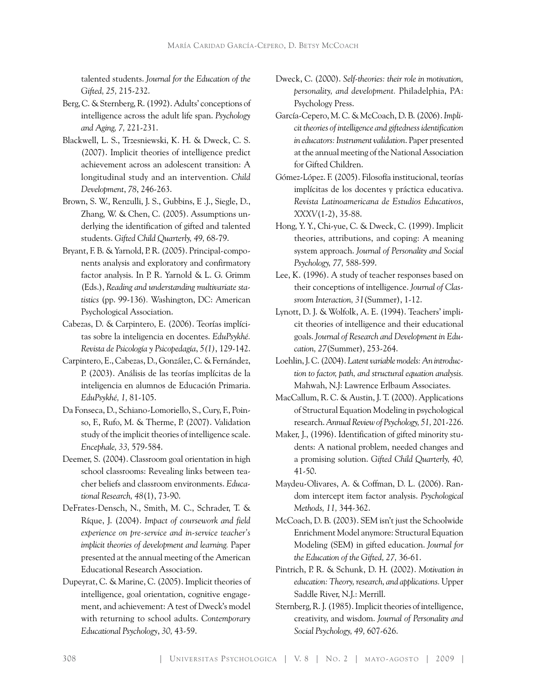talented students. *Journal for the Education of the Gifted, 25,* 215-232.

- Berg, C. & Sternberg, R. (1992). Adults' conceptions of intelligence across the adult life span. *Psychology and Aging, 7,* 221-231.
- Blackwell, L. S., Trzesniewski, K. H. & Dweck, C. S. (2007). Implicit theories of intelligence predict achievement across an adolescent transition: A longitudinal study and an intervention. *Child Development*, *78*, 246-263.
- Brown, S. W., Renzulli, J. S., Gubbins, E .J., Siegle, D., Zhang, W. & Chen, C. (2005). Assumptions underlying the identification of gifted and talented students. *Gifted Child Quarterly, 49,* 68-79.
- Bryant, F. B. & Yarnold, P. R. (2005). Principal-components analysis and exploratory and confirmatory factor analysis. In P. R. Yarnold & L. G. Grimm (Eds.), *Reading and understanding multivariate statistics* (pp. 99-136)*.* Washington, DC: American Psychological Association.
- Cabezas, D. & Carpintero, E. (2006). Teorías implícitas sobre la inteligencia en docentes. *EduPsykhé. Revista de Psicología y Psicopedagía*, *5(1)*, 129-142.
- Carpintero, E., Cabezas, D., González, C. & Fernández, P. (2003). Análisis de las teorías implícitas de la inteligencia en alumnos de Educación Primaria. *EduPsykhé, 1,* 81-105.
- Da Fonseca, D., Schiano-Lomoriello, S., Cury, F., Poinso, F., Rufo, M. & Therme, P. (2007). Validation study of the implicit theories of intelligence scale. *Encephale, 33,* 579-584.
- Deemer, S. (2004). Classroom goal orientation in high school classrooms: Revealing links between teacher beliefs and classroom environments. *Educational Research, 48*(1), 73-90.
- DeFrates-Densch, N., Smith, M. C., Schrader, T. & Ríque, J. (2004). *Impact of coursework and field experience on pre-service and in-service teacher's implicit theories of development and learning.* Paper presented at the annual meeting of the American Educational Research Association.
- Dupeyrat, C. & Marine, C. (2005). Implicit theories of intelligence, goal orientation, cognitive engagement, and achievement: A test of Dweck's model with returning to school adults. *Contemporary Educational Psychology*, *30,* 43-59.
- Dweck, C. (2000). *Self-theories: their role in motivation, personality, and development.* Philadelphia, PA: Psychology Press.
- García-Cepero, M. C. & McCoach, D. B. (2006). *Implicit theories of intelligence and giftedness identification in educators: Instrument validation*. Paper presented at the annual meeting of the National Association for Gifted Children.
- Gómez-López. F. (2005). Filosofía institucional, teorías implícitas de los docentes y práctica educativa. *Revista Latinoamericana de Estudios Educativos*, *XXXV*(1-2), 35-88.
- Hong, Y. Y., Chi-yue, C. & Dweck, C. (1999). Implicit theories, attributions, and coping: A meaning system approach. *Journal of Personality and Social Psychology, 77,* 588-599.
- Lee, K. (1996). A study of teacher responses based on their conceptions of intelligence. *Journal of Classroom Interaction, 31*(Summer), 1-12.
- Lynott, D. J. & Wolfolk, A. E. (1994). Teachers' implicit theories of intelligence and their educational goals. *Journal of Research and Development in Education, 27*(Summer), 253-264.
- Loehlin, J. C. (2004). *Latent variable models: An introduction to factor, path, and structural equation analysis.* Mahwah, N.J: Lawrence Erlbaum Associates.
- MacCallum, R. C. & Austin, J. T. (2000). Applications of Structural Equation Modeling in psychological research. *Annual Review of Psychology, 51,* 201-226.
- Maker, J., (1996). Identification of gifted minority students: A national problem, needed changes and a promising solution. *Gifted Child Quarterly, 40,* 41-50.
- Maydeu-Olivares, A. & Coffman, D. L. (2006). Random intercept item factor analysis. *Psychological Methods, 11,* 344-362.
- McCoach, D. B. (2003). SEM isn't just the Schoolwide Enrichment Model anymore: Structural Equation Modeling (SEM) in gifted education. *Journal for the Education of the Gifted, 27,* 36-61.
- Pintrich, P. R. & Schunk, D. H. (2002). *Motivation in education: Theory, research, and applications.* Upper Saddle River, N.J.: Merrill.
- Sternberg, R. J. (1985). Implicit theories of intelligence, creativity, and wisdom. *Journal of Personality and Social Psychology, 49,* 607-626.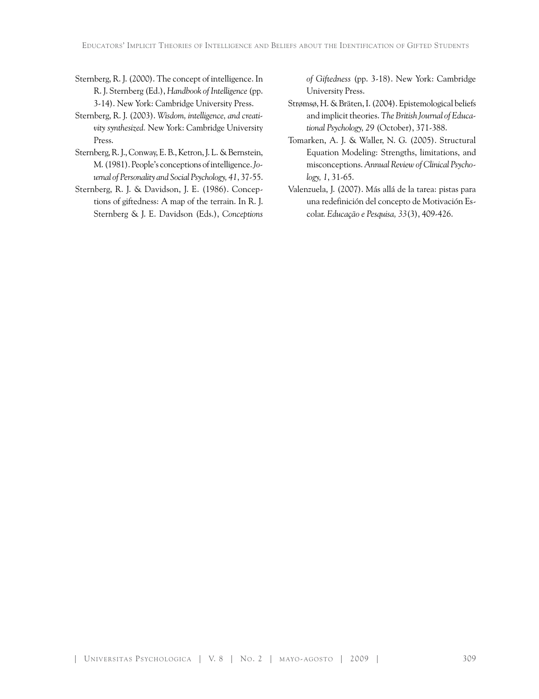- Sternberg, R. J. (2000). The concept of intelligence. In R. J. Sternberg (Ed.), *Handbook of Intelligence* (pp. 3-14). New York: Cambridge University Press.
- Sternberg, R. J. (2003). *Wisdom, intelligence, and creativity synthesized.* New York: Cambridge University Press.
- Sternberg, R. J., Conway, E. B., Ketron, J. L. & Bernstein, M. (1981). People's conceptions of intelligence. *Journal of Personality and Social Psychology, 41*, 37-55.
- Sternberg, R. J. & Davidson, J. E. (1986). Conceptions of giftedness: A map of the terrain. In R. J. Sternberg & J. E. Davidson (Eds.), *Conceptions*

*of Giftedness* (pp. 3-18). New York: Cambridge University Press.

- Strømsø, H. & Bräten, I. (2004). Epistemological beliefs and implicit theories. *The British Journal of Educational Psychology, 29* (October), 371-388.
- Tomarken, A. J. & Waller, N. G. (2005). Structural Equation Modeling: Strengths, limitations, and misconceptions. *Annual Review of Clinical Psychology, 1*, 31-65.
- Valenzuela, J. (2007). Más allá de la tarea: pistas para una redefinición del concepto de Motivación Escolar. *Educação e Pesquisa, 33*(3), 409-426.